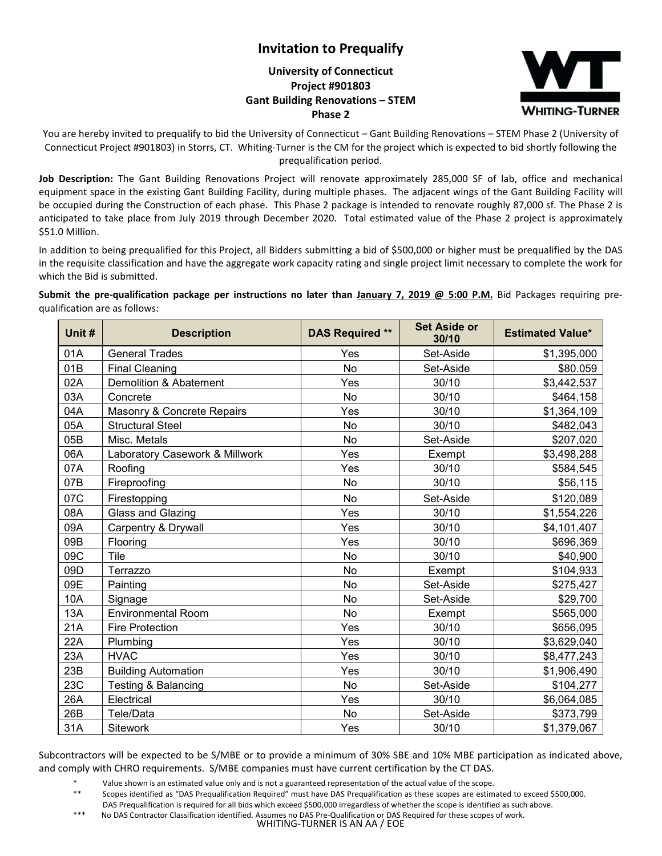## **Invitation to Prequalify**

## **University of Connecticut Project #901803 Gant Building Renovations – STEM Phase 2**



You are hereby invited to prequalify to bid the University of Connecticut – Gant Building Renovations – STEM Phase 2 (University of Connecticut Project #901803) in Storrs, CT. Whiting-Turner is the CM for the project which is expected to bid shortly following the prequalification period.

**Job Description:** The Gant Building Renovations Project will renovate approximately 285,000 SF of lab, office and mechanical equipment space in the existing Gant Building Facility, during multiple phases. The adjacent wings of the Gant Building Facility will be occupied during the Construction of each phase. This Phase 2 package is intended to renovate roughly 87,000 sf. The Phase 2 is anticipated to take place from July 2019 through December 2020. Total estimated value of the Phase 2 project is approximately \$51.0 Million.

In addition to being prequalified for this Project, all Bidders submitting a bid of \$500,000 or higher must be prequalified by the DAS in the requisite classification and have the aggregate work capacity rating and single project limit necessary to complete the work for which the Bid is submitted.

**Submit the pre-qualification package per instructions no later than January 7, 2019 @ 5:00 P.M.** Bid Packages requiring prequalification are as follows:

| Unit # | <b>Description</b>             | <b>DAS Required **</b> | <b>Set Aside or</b><br>30/10 | <b>Estimated Value*</b> |
|--------|--------------------------------|------------------------|------------------------------|-------------------------|
| 01A    | <b>General Trades</b>          | Yes                    | Set-Aside                    | \$1,395,000             |
| 01B    | <b>Final Cleaning</b>          | <b>No</b>              | Set-Aside                    | \$80.059                |
| 02A    | Demolition & Abatement         | Yes                    | 30/10                        | \$3,442,537             |
| 03A    | Concrete                       | No                     | 30/10                        | \$464,158               |
| 04A    | Masonry & Concrete Repairs     | Yes                    | 30/10                        | \$1,364,109             |
| 05A    | <b>Structural Steel</b>        | No                     | 30/10                        | \$482,043               |
| 05B    | Misc. Metals                   | No                     | Set-Aside                    | \$207,020               |
| 06A    | Laboratory Casework & Millwork | Yes                    | Exempt                       | \$3,498,288             |
| 07A    | Roofing                        | Yes                    | 30/10                        | \$584,545               |
| 07B    | Fireproofing                   | No                     | 30/10                        | \$56,115                |
| 07C    | Firestopping                   | No                     | Set-Aside                    | \$120,089               |
| 08A    | Glass and Glazing              | Yes                    | 30/10                        | \$1,554,226             |
| 09A    | Carpentry & Drywall            | Yes                    | 30/10                        | \$4,101,407             |
| 09B    | Flooring                       | Yes                    | 30/10                        | \$696,369               |
| 09C    | Tile                           | No                     | 30/10                        | \$40,900                |
| 09D    | Terrazzo                       | No                     | Exempt                       | \$104,933               |
| 09E    | Painting                       | No                     | Set-Aside                    | \$275,427               |
| 10A    | Signage                        | No                     | Set-Aside                    | \$29,700                |
| 13A    | <b>Environmental Room</b>      | No                     | Exempt                       | \$565,000               |
| 21A    | <b>Fire Protection</b>         | Yes                    | 30/10                        | \$656,095               |
| 22A    | Plumbing                       | Yes                    | 30/10                        | \$3,629,040             |
| 23A    | <b>HVAC</b>                    | Yes                    | 30/10                        | \$8,477,243             |
| 23B    | <b>Building Automation</b>     | Yes                    | 30/10                        | \$1,906,490             |
| 23C    | Testing & Balancing            | No                     | Set-Aside                    | \$104,277               |
| 26A    | Electrical                     | Yes                    | 30/10                        | \$6,064,085             |
| 26B    | Tele/Data                      | No                     | Set-Aside                    | \$373,799               |
| 31A    | <b>Sitework</b>                | Yes                    | 30/10                        | \$1,379,067             |

Subcontractors will be expected to be S/MBE or to provide a minimum of 30% SBE and 10% MBE participation as indicated above, and comply with CHRO requirements. S/MBE companies must have current certification by the CT DAS.

\* Value shown is an estimated value only and is not a guaranteed representation of the actual value of the scope.<br>\*\* Seenes identified as "DAS Prequalification Required" must have DAS Prequalification as these seenes are e

- DAS Prequalification is required for all bids which exceed \$500,000 irregardless of whether the scope is identified as such above.
- \*\*\* No DAS Contractor Classification identified. Assumes no DAS Pre-Qualification or DAS Required for these scopes of work.

WHITING-TURNER IS AN AA / EOE

Scopes identified as "DAS Prequalification Required" must have DAS Prequalification as these scopes are estimated to exceed \$500,000.